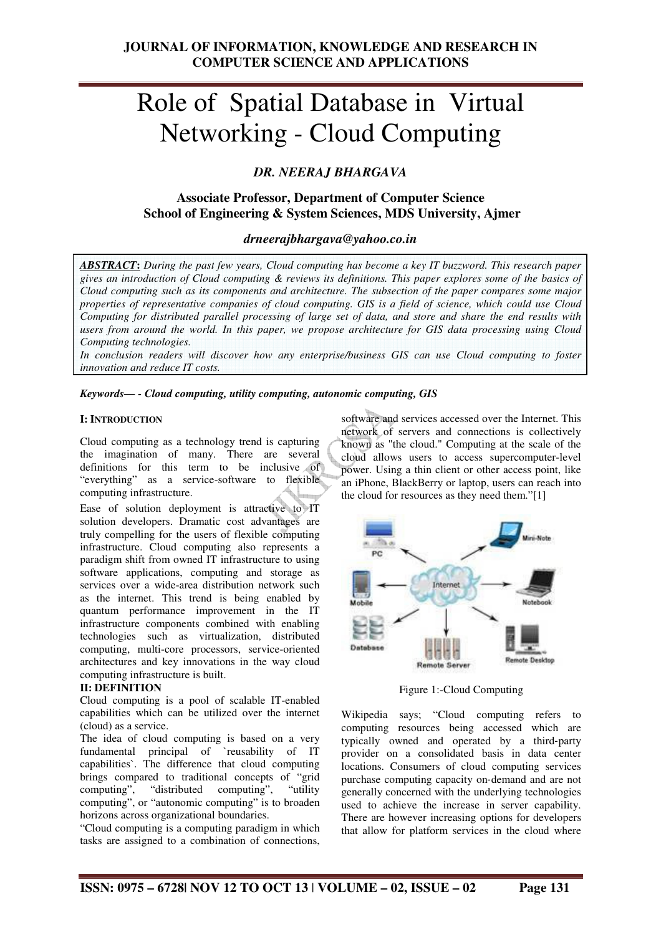# Role of Spatial Database in Virtual Networking - Cloud Computing

## *DR. NEERAJ BHARGAVA*

## **Associate Professor, Department of Computer Science School of Engineering & System Sciences, MDS University, Ajmer**

## *drneerajbhargava@yahoo.co.in*

*ABSTRACT***:** *During the past few years, Cloud computing has become a key IT buzzword. This research paper gives an introduction of Cloud computing & reviews its definitions. This paper explores some of the basics of Cloud computing such as its components and architecture. The subsection of the paper compares some major properties of representative companies of cloud computing. GIS is a field of science, which could use Cloud Computing for distributed parallel processing of large set of data, and store and share the end results with users from around the world. In this paper, we propose architecture for GIS data processing using Cloud Computing technologies.* 

*In conclusion readers will discover how any enterprise/business GIS can use Cloud computing to foster innovation and reduce IT costs.* 

*Keywords— - Cloud computing, utility computing, autonomic computing, GIS* 

#### **I: INTRODUCTION**

Cloud computing as a technology trend is capturing the imagination of many. There are several definitions for this term to be inclusive of "everything" as a service-software to flexible computing infrastructure.

Ease of solution deployment is attractive to IT solution developers. Dramatic cost advantages are truly compelling for the users of flexible computing infrastructure. Cloud computing also represents a paradigm shift from owned IT infrastructure to using software applications, computing and storage as services over a wide-area distribution network such as the internet. This trend is being enabled by quantum performance improvement in the IT infrastructure components combined with enabling technologies such as virtualization, distributed computing, multi-core processors, service-oriented architectures and key innovations in the way cloud computing infrastructure is built.

#### **II: DEFINITION**

Cloud computing is a pool of scalable IT-enabled capabilities which can be utilized over the internet (cloud) as a service.

The idea of cloud computing is based on a very fundamental principal of `reusability of IT capabilities`. The difference that cloud computing brings compared to traditional concepts of "grid computing", "distributed computing", "utility computing", or "autonomic computing" is to broaden horizons across organizational boundaries.

"Cloud computing is a computing paradigm in which tasks are assigned to a combination of connections,

software and services accessed over the Internet. This network of servers and connections is collectively known as "the cloud." Computing at the scale of the cloud allows users to access supercomputer-level power. Using a thin client or other access point, like an iPhone, BlackBerry or laptop, users can reach into the cloud for resources as they need them."[1]



Figure 1:-Cloud Computing

Wikipedia says; "Cloud computing refers to computing resources being accessed which are typically owned and operated by a third‐party provider on a consolidated basis in data center locations. Consumers of cloud computing services purchase computing capacity on‐demand and are not generally concerned with the underlying technologies used to achieve the increase in server capability. There are however increasing options for developers that allow for platform services in the cloud where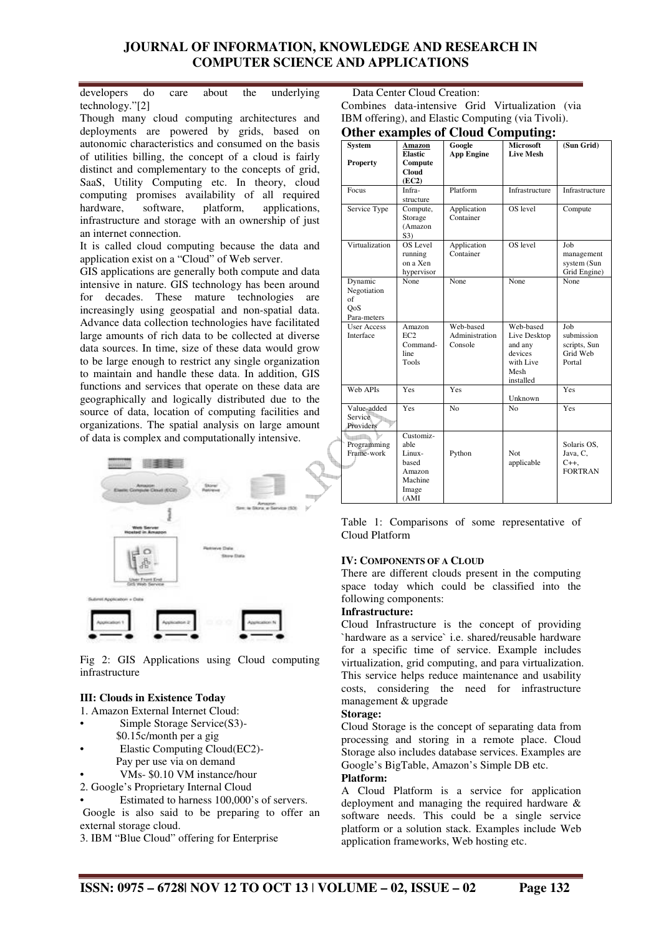developers do care about the underlying technology."[2]

Though many cloud computing architectures and deployments are powered by grids, based on autonomic characteristics and consumed on the basis of utilities billing, the concept of a cloud is fairly distinct and complementary to the concepts of grid, SaaS, Utility Computing etc. In theory, cloud computing promises availability of all required hardware, software, platform, applications, infrastructure and storage with an ownership of just an internet connection.

It is called cloud computing because the data and application exist on a "Cloud" of Web server.

GIS applications are generally both compute and data intensive in nature. GIS technology has been around for decades. These mature technologies are increasingly using geospatial and non-spatial data. Advance data collection technologies have facilitated large amounts of rich data to be collected at diverse data sources. In time, size of these data would grow to be large enough to restrict any single organization to maintain and handle these data. In addition, GIS functions and services that operate on these data are geographically and logically distributed due to the source of data, location of computing facilities and organizations. The spatial analysis on large amount of data is complex and computationally intensive.



Fig 2: GIS Applications using Cloud computing infrastructure

#### **III: Clouds in Existence Today**

1. Amazon External Internet Cloud:

- Simple Storage Service(S3)-
	- \$0.15c/month per a gig
- Elastic Computing Cloud(EC2)- Pay per use via on demand
- VMs- \$0.10 VM instance/hour
- 2. Google's Proprietary Internal Cloud
- Estimated to harness 100,000's of servers.

 Google is also said to be preparing to offer an external storage cloud.

3. IBM "Blue Cloud" offering for Enterprise

 Data Center Cloud Creation: Combines data-intensive Grid Virtualization (via

IBM offering), and Elastic Computing (via Tivoli).

## **Other examples of Cloud Computing:**

|                                                    |                                                                            |                                        | o                                                                                 |                                                         |
|----------------------------------------------------|----------------------------------------------------------------------------|----------------------------------------|-----------------------------------------------------------------------------------|---------------------------------------------------------|
| <b>System</b>                                      | Amazon<br><b>Elastic</b>                                                   | Google<br><b>App Engine</b>            | <b>Microsoft</b><br><b>Live Mesh</b>                                              | (Sun Grid)                                              |
| <b>Property</b>                                    | Compute<br><b>Cloud</b>                                                    |                                        |                                                                                   |                                                         |
|                                                    | (EC2)                                                                      |                                        |                                                                                   |                                                         |
| Focus                                              | Infra-<br>structure                                                        | Platform                               | Infrastructure                                                                    | Infrastructure                                          |
| Service Type                                       | Compute,<br>Storage<br>(Amazon<br>S3)                                      | Application<br>Container               | OS level                                                                          | Compute                                                 |
| Virtualization                                     | OS Level<br>running<br>on a Xen<br>hypervisor                              | Application<br>Container               | OS level                                                                          | Job<br>management<br>system (Sun<br>Grid Engine)        |
| Dynamic<br>Negotiation<br>of<br>OoS<br>Para-meters | None                                                                       | None                                   | None                                                                              | None                                                    |
| <b>User Access</b><br>Interface                    | Amazon<br>EC2<br>Command-<br>line<br>Tools                                 | Web-based<br>Administration<br>Console | Web-based<br>Live Desktop<br>and any<br>devices<br>with Live<br>Mesh<br>installed | Job<br>submission<br>scripts, Sun<br>Grid Web<br>Portal |
| Web APIs                                           | Yes                                                                        | Yes                                    | Unknown                                                                           | Yes                                                     |
| Value-added<br>Service<br>Providers                | Yes                                                                        | N <sub>o</sub>                         | N <sub>0</sub>                                                                    | Yes                                                     |
| Programming<br>Frame-work                          | Customiz-<br>able<br>Linux-<br>based<br>Amazon<br>Machine<br>Image<br>(AMI | Python                                 | Not<br>applicable                                                                 | Solaris OS,<br>Java, C.<br>$C_{++}$<br><b>FORTRAN</b>   |

Table 1: Comparisons of some representative of Cloud Platform

## **IV: COMPONENTS OF A CLOUD**

There are different clouds present in the computing space today which could be classified into the following components:

## **Infrastructure:**

Cloud Infrastructure is the concept of providing `hardware as a service` i.e. shared/reusable hardware for a specific time of service. Example includes virtualization, grid computing, and para virtualization. This service helps reduce maintenance and usability costs, considering the need for infrastructure management & upgrade

## **Storage:**

Cloud Storage is the concept of separating data from processing and storing in a remote place. Cloud Storage also includes database services. Examples are Google's BigTable, Amazon's Simple DB etc.

#### **Platform:**

A Cloud Platform is a service for application deployment and managing the required hardware & software needs. This could be a single service platform or a solution stack. Examples include Web application frameworks, Web hosting etc.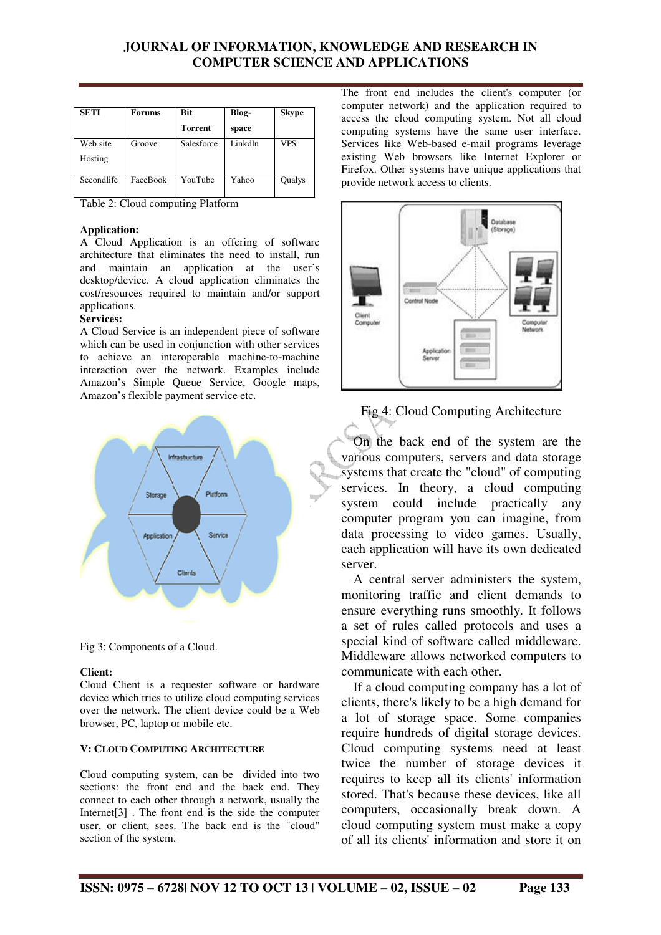| <b>SETI</b> | Forums   | <b>Bit</b>     | Blog-   | <b>Skype</b> |
|-------------|----------|----------------|---------|--------------|
|             |          | <b>Torrent</b> | space   |              |
| Web site    | Groove   | Salesforce     | Linkdln | <b>VPS</b>   |
| Hosting     |          |                |         |              |
| Secondlife  | FaceBook | YouTube        | Yahoo   | Qualys       |

Table 2: Cloud computing Platform

#### **Application:**

A Cloud Application is an offering of software architecture that eliminates the need to install, run and maintain an application at the user's desktop/device. A cloud application eliminates the cost/resources required to maintain and/or support applications.

#### **Services:**

A Cloud Service is an independent piece of software which can be used in conjunction with other services to achieve an interoperable machine-to-machine interaction over the network. Examples include Amazon's Simple Queue Service, Google maps, Amazon's flexible payment service etc.



Fig 3: Components of a Cloud.

#### **Client:**

Cloud Client is a requester software or hardware device which tries to utilize cloud computing services over the network. The client device could be a Web browser, PC, laptop or mobile etc.

#### **V: CLOUD COMPUTING ARCHITECTURE**

Cloud computing system, can be divided into two sections: the front end and the back end. They connect to each other through a network, usually the Internet[3] . The front end is the side the computer user, or client, sees. The back end is the "cloud" section of the system.

The front end includes the client's computer (or computer network) and the application required to access the cloud computing system. Not all cloud computing systems have the same user interface. Services like Web-based e-mail programs leverage existing Web browsers like Internet Explorer or Firefox. Other systems have unique applications that provide network access to clients.





On the back end of the system are the various computers, servers and data storage systems that create the "cloud" of computing services. In theory, a cloud computing system could include practically any computer program you can imagine, from data processing to video games. Usually, each application will have its own dedicated server.

A central server administers the system, monitoring traffic and client demands to ensure everything runs smoothly. It follows a set of rules called protocols and uses a special kind of software called middleware. Middleware allows networked computers to communicate with each other.

If a cloud computing company has a lot of clients, there's likely to be a high demand for a lot of storage space. Some companies require hundreds of digital storage devices. Cloud computing systems need at least twice the number of storage devices it requires to keep all its clients' information stored. That's because these devices, like all computers, occasionally break down. A cloud computing system must make a copy of all its clients' information and store it on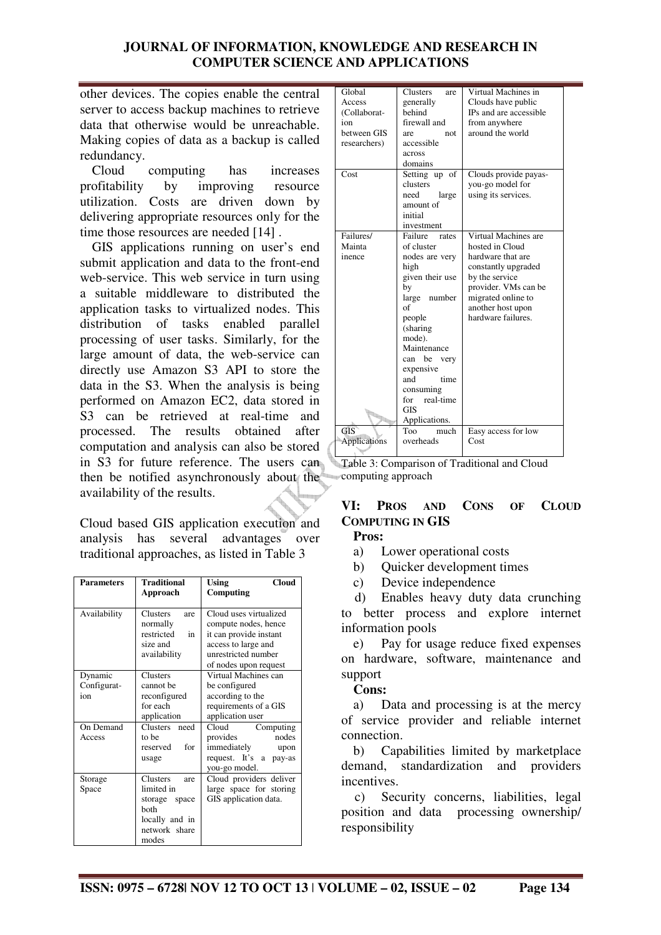other devices. The copies enable the central server to access backup machines to retrieve data that otherwise would be unreachable. Making copies of data as a backup is called redundancy.

Cloud computing has increases profitability by improving resource utilization. Costs are driven down by delivering appropriate resources only for the time those resources are needed [14].

GIS applications running on user's end submit application and data to the front-end web-service. This web service in turn using a suitable middleware to distributed the application tasks to virtualized nodes. This distribution of tasks enabled parallel processing of user tasks. Similarly, for the large amount of data, the web-service can directly use Amazon S3 API to store the data in the S3. When the analysis is being performed on Amazon EC2, data stored in S3 can be retrieved at real-time and processed. The results obtained after computation and analysis can also be stored in S3 for future reference. The users can then be notified asynchronously about the availability of the results.

Cloud based GIS application execution and analysis has several advantages over traditional approaches, as listed in Table 3

| <b>Parameters</b>             | <b>Traditional</b>                                                                                 | <b>Cloud</b><br><b>Using</b>                                                                                                                    |
|-------------------------------|----------------------------------------------------------------------------------------------------|-------------------------------------------------------------------------------------------------------------------------------------------------|
|                               | Approach                                                                                           | Computing                                                                                                                                       |
| Availability                  | <b>Clusters</b><br>are<br>normally<br>restricted<br>in<br>size and<br>availability                 | Cloud uses virtualized<br>compute nodes, hence<br>it can provide instant<br>access to large and<br>unrestricted number<br>of nodes upon request |
| Dynamic<br>Configurat-<br>ion | <b>Clusters</b><br>cannot be<br>reconfigured<br>for each<br>application                            | Virtual Machines can<br>be configured<br>according to the<br>requirements of a GIS<br>application user                                          |
| On Demand<br>Access           | Clusters need<br>to be<br>for<br>reserved<br>usage                                                 | Cloud<br>Computing<br>nodes<br>provides<br>immediately<br>upon<br>request. It's a pay-as<br>you-go model.                                       |
| Storage<br>Space              | Clusters<br>are<br>limited in<br>storage space<br>hoth<br>locally and in<br>network share<br>modes | Cloud providers deliver<br>large space for storing<br>GIS application data.                                                                     |

| Global              | <b>Clusters</b><br>are | Virtual Machines in    |
|---------------------|------------------------|------------------------|
| Access              | generally              | Clouds have public     |
| (Collaborat-        | behind                 | IPs and are accessible |
| ion                 | firewall and           | from anywhere          |
| between GIS         | not.<br>are            | around the world       |
| researchers)        | accessible             |                        |
|                     | across                 |                        |
|                     | domains                |                        |
| Cost                | Setting up of          | Clouds provide payas-  |
|                     | clusters               | you-go model for       |
|                     | need<br>large          | using its services.    |
|                     | amount of              |                        |
|                     | initial                |                        |
|                     | investment             |                        |
| Failures/           | Failure<br>rates       | Virtual Machines are   |
| Mainta              | of cluster             | hosted in Cloud        |
| inence              | nodes are very         | hardware that are      |
|                     | high                   | constantly upgraded    |
|                     | given their use        | by the service         |
|                     | by                     | provider. VMs can be   |
|                     | number<br>large        | migrated online to     |
|                     | of                     | another host upon      |
|                     | people                 | hardware failures.     |
|                     | (sharing               |                        |
|                     | mode).                 |                        |
|                     | Maintenance            |                        |
|                     | can be<br>very         |                        |
|                     | expensive              |                        |
|                     | time<br>and            |                        |
|                     | consuming              |                        |
|                     | for real-time          |                        |
|                     | <b>GIS</b>             |                        |
|                     | Applications.          |                        |
| GIS                 | Too<br>much            | Easy access for low    |
| <b>Applications</b> | overheads              | Cost                   |
|                     |                        |                        |

Table 3: Comparison of Traditional and Cloud computing approach

# **VI: PROS AND CONS OF CLOUD COMPUTING IN GIS**

**Pros:** 

- a) Lower operational costs
- b) Quicker development times
- c) Device independence

 d) Enables heavy duty data crunching to better process and explore internet information pools

e) Pay for usage reduce fixed expenses on hardware, software, maintenance and support

## **Cons:**

a) Data and processing is at the mercy of service provider and reliable internet connection.

b) Capabilities limited by marketplace demand, standardization and providers incentives.

 c) Security concerns, liabilities, legal position and data processing ownership/ responsibility